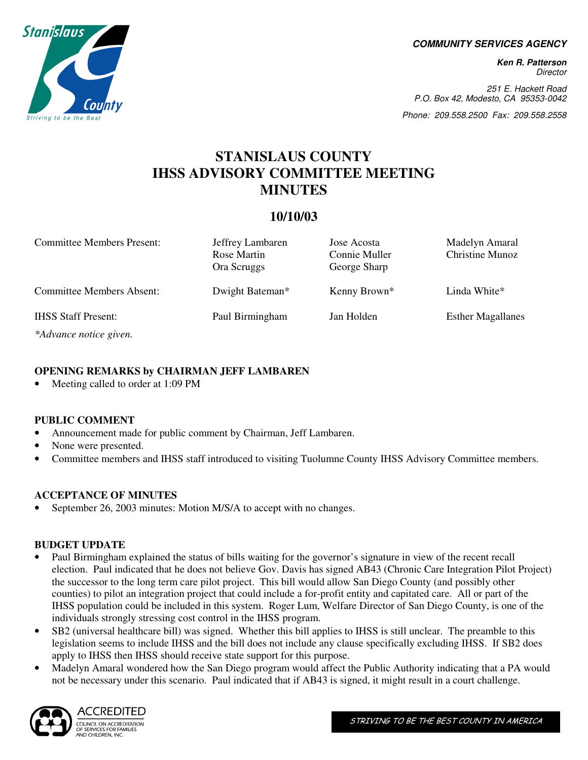**COMMUNITY SERVICES AGENCY** 

**Ken R. Patterson**  Director

251 E. Hackett Road P.O. Box 42, Modesto, CA 95353-0042

Phone: 209.558.2500 Fax: 209.558.2558

# **STANISLAUS COUNTY IHSS ADVISORY COMMITTEE MEETING MINUTES**

# **10/10/03**

| <b>Committee Members Present:</b> | Jeffrey Lambaren<br>Rose Martin<br>Ora Scruggs | Jose Acosta<br>Connie Muller<br>George Sharp | Madelyn Amaral<br><b>Christine Munoz</b> |
|-----------------------------------|------------------------------------------------|----------------------------------------------|------------------------------------------|
| <b>Committee Members Absent:</b>  | Dwight Bateman*                                | Kenny Brown*                                 | Linda White*                             |
| <b>IHSS Staff Present:</b>        | Paul Birmingham                                | Jan Holden                                   | <b>Esther Magallanes</b>                 |
| *Advance notice given.            |                                                |                                              |                                          |

# **OPENING REMARKS by CHAIRMAN JEFF LAMBAREN**

Meeting called to order at 1:09 PM

# **PUBLIC COMMENT**

- Announcement made for public comment by Chairman, Jeff Lambaren.
- None were presented.
- Committee members and IHSS staff introduced to visiting Tuolumne County IHSS Advisory Committee members.

# **ACCEPTANCE OF MINUTES**

September 26, 2003 minutes: Motion M/S/A to accept with no changes.

#### **BUDGET UPDATE**

- Paul Birmingham explained the status of bills waiting for the governor's signature in view of the recent recall election. Paul indicated that he does not believe Gov. Davis has signed AB43 (Chronic Care Integration Pilot Project) the successor to the long term care pilot project. This bill would allow San Diego County (and possibly other counties) to pilot an integration project that could include a for-profit entity and capitated care. All or part of the IHSS population could be included in this system. Roger Lum, Welfare Director of San Diego County, is one of the individuals strongly stressing cost control in the IHSS program.
- SB2 (universal healthcare bill) was signed. Whether this bill applies to IHSS is still unclear. The preamble to this legislation seems to include IHSS and the bill does not include any clause specifically excluding IHSS. If SB2 does apply to IHSS then IHSS should receive state support for this purpose.
- Madelyn Amaral wondered how the San Diego program would affect the Public Authority indicating that a PA would not be necessary under this scenario. Paul indicated that if AB43 is signed, it might result in a court challenge.



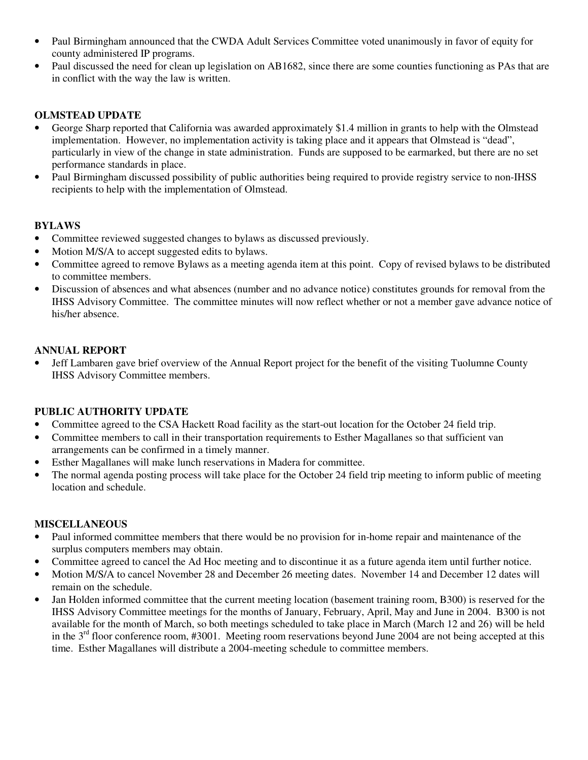- Paul Birmingham announced that the CWDA Adult Services Committee voted unanimously in favor of equity for county administered IP programs.
- Paul discussed the need for clean up legislation on AB1682, since there are some counties functioning as PAs that are in conflict with the way the law is written.

# **OLMSTEAD UPDATE**

- George Sharp reported that California was awarded approximately \$1.4 million in grants to help with the Olmstead implementation. However, no implementation activity is taking place and it appears that Olmstead is "dead", particularly in view of the change in state administration. Funds are supposed to be earmarked, but there are no set performance standards in place.
- Paul Birmingham discussed possibility of public authorities being required to provide registry service to non-IHSS recipients to help with the implementation of Olmstead.

# **BYLAWS**

- Committee reviewed suggested changes to bylaws as discussed previously.
- Motion M/S/A to accept suggested edits to bylaws.
- Committee agreed to remove Bylaws as a meeting agenda item at this point. Copy of revised bylaws to be distributed to committee members.
- Discussion of absences and what absences (number and no advance notice) constitutes grounds for removal from the IHSS Advisory Committee. The committee minutes will now reflect whether or not a member gave advance notice of his/her absence.

# **ANNUAL REPORT**

• Jeff Lambaren gave brief overview of the Annual Report project for the benefit of the visiting Tuolumne County IHSS Advisory Committee members.

# **PUBLIC AUTHORITY UPDATE**

- Committee agreed to the CSA Hackett Road facility as the start-out location for the October 24 field trip.
- Committee members to call in their transportation requirements to Esther Magallanes so that sufficient van arrangements can be confirmed in a timely manner.
- Esther Magallanes will make lunch reservations in Madera for committee.
- The normal agenda posting process will take place for the October 24 field trip meeting to inform public of meeting location and schedule.

# **MISCELLANEOUS**

- Paul informed committee members that there would be no provision for in-home repair and maintenance of the surplus computers members may obtain.
- Committee agreed to cancel the Ad Hoc meeting and to discontinue it as a future agenda item until further notice.
- Motion M/S/A to cancel November 28 and December 26 meeting dates. November 14 and December 12 dates will remain on the schedule.
- Jan Holden informed committee that the current meeting location (basement training room, B300) is reserved for the IHSS Advisory Committee meetings for the months of January, February, April, May and June in 2004. B300 is not available for the month of March, so both meetings scheduled to take place in March (March 12 and 26) will be held in the 3<sup>rd</sup> floor conference room, #3001. Meeting room reservations beyond June 2004 are not being accepted at this time. Esther Magallanes will distribute a 2004-meeting schedule to committee members.